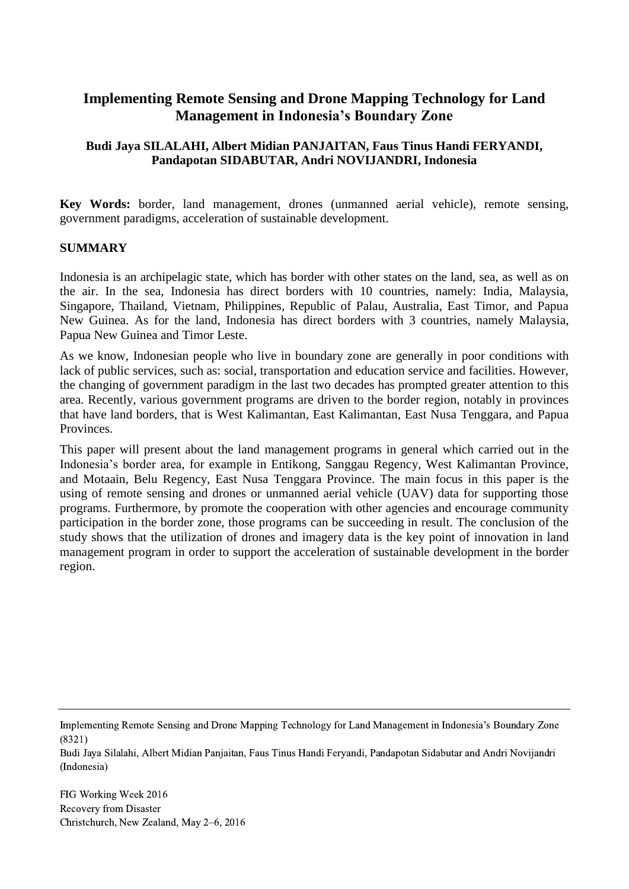# **Implementing Remote Sensing and Drone Mapping Technology for Land Management in Indonesia's Boundary Zone**

### **Budi Jaya SILALAHI, Albert Midian PANJAITAN, Faus Tinus Handi FERYANDI, Pandapotan SIDABUTAR, Andri NOVIJANDRI, Indonesia**

**Key Words:** border, land management, drones (unmanned aerial vehicle), remote sensing, government paradigms, acceleration of sustainable development.

### **SUMMARY**

Indonesia is an archipelagic state, which has border with other states on the land, sea, as well as on the air. In the sea, Indonesia has direct borders with 10 countries, namely: India, Malaysia, Singapore, Thailand, Vietnam, Philippines, Republic of Palau, Australia, East Timor, and Papua New Guinea. As for the land, Indonesia has direct borders with 3 countries, namely Malaysia, Papua New Guinea and Timor Leste.

As we know, Indonesian people who live in boundary zone are generally in poor conditions with lack of public services, such as: social, transportation and education service and facilities. However, the changing of government paradigm in the last two decades has prompted greater attention to this area. Recently, various government programs are driven to the border region, notably in provinces that have land borders, that is West Kalimantan, East Kalimantan, East Nusa Tenggara, and Papua Provinces.

This paper will present about the land management programs in general which carried out in the Indonesia's border area, for example in Entikong, Sanggau Regency, West Kalimantan Province, and Motaain, Belu Regency, East Nusa Tenggara Province. The main focus in this paper is the using of remote sensing and drones or unmanned aerial vehicle (UAV) data for supporting those programs. Furthermore, by promote the cooperation with other agencies and encourage community participation in the border zone, those programs can be succeeding in result. The conclusion of the study shows that the utilization of drones and imagery data is the key point of innovation in land management program in order to support the acceleration of sustainable development in the border region.

Implementing Remote Sensing and Drone Mapping Technology for Land Management in Indonesia's Boundary Zone (8321)

Budi Jaya Silalahi, Albert Midian Panjaitan, Faus Tinus Handi Feryandi, Pandapotan Sidabutar and Andri Novijandri (Indonesia)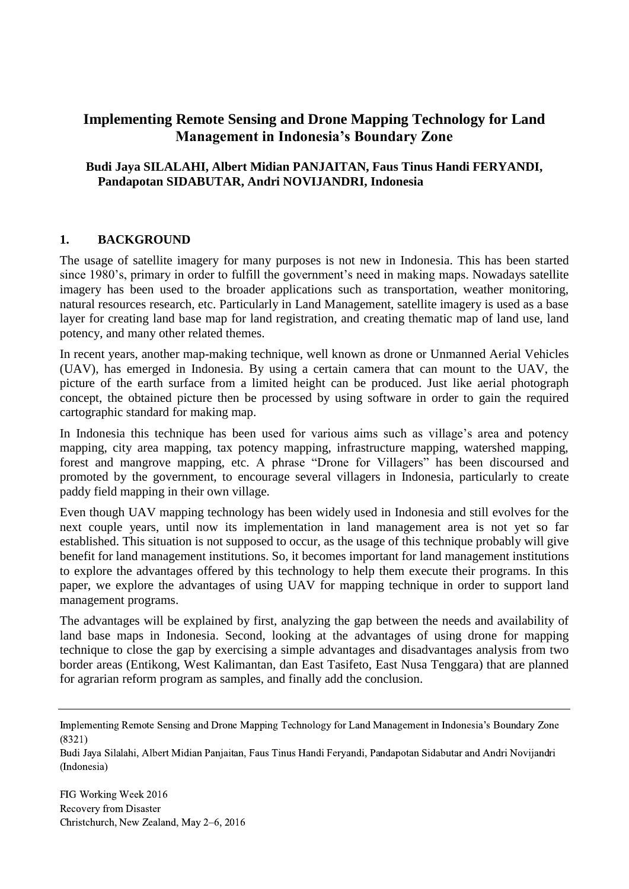# **Implementing Remote Sensing and Drone Mapping Technology for Land Management in Indonesia's Boundary Zone**

### **Budi Jaya SILALAHI, Albert Midian PANJAITAN, Faus Tinus Handi FERYANDI, Pandapotan SIDABUTAR, Andri NOVIJANDRI, Indonesia**

### **1. BACKGROUND**

The usage of satellite imagery for many purposes is not new in Indonesia. This has been started since 1980's, primary in order to fulfill the government's need in making maps. Nowadays satellite imagery has been used to the broader applications such as transportation, weather monitoring, natural resources research, etc. Particularly in Land Management, satellite imagery is used as a base layer for creating land base map for land registration, and creating thematic map of land use, land potency, and many other related themes.

In recent years, another map-making technique, well known as drone or Unmanned Aerial Vehicles (UAV), has emerged in Indonesia. By using a certain camera that can mount to the UAV, the picture of the earth surface from a limited height can be produced. Just like aerial photograph concept, the obtained picture then be processed by using software in order to gain the required cartographic standard for making map.

In Indonesia this technique has been used for various aims such as village's area and potency mapping, city area mapping, tax potency mapping, infrastructure mapping, watershed mapping, forest and mangrove mapping, etc. A phrase "Drone for Villagers" has been discoursed and promoted by the government, to encourage several villagers in Indonesia, particularly to create paddy field mapping in their own village.

Even though UAV mapping technology has been widely used in Indonesia and still evolves for the next couple years, until now its implementation in land management area is not yet so far established. This situation is not supposed to occur, as the usage of this technique probably will give benefit for land management institutions. So, it becomes important for land management institutions to explore the advantages offered by this technology to help them execute their programs. In this paper, we explore the advantages of using UAV for mapping technique in order to support land management programs.

The advantages will be explained by first, analyzing the gap between the needs and availability of land base maps in Indonesia. Second, looking at the advantages of using drone for mapping technique to close the gap by exercising a simple advantages and disadvantages analysis from two border areas (Entikong, West Kalimantan, dan East Tasifeto, East Nusa Tenggara) that are planned for agrarian reform program as samples, and finally add the conclusion.

Budi Jaya Silalahi, Albert Midian Panjaitan, Faus Tinus Handi Feryandi, Pandapotan Sidabutar and Andri Novijandri (Indonesia)

Implementing Remote Sensing and Drone Mapping Technology for Land Management in Indonesia's Boundary Zone (8321)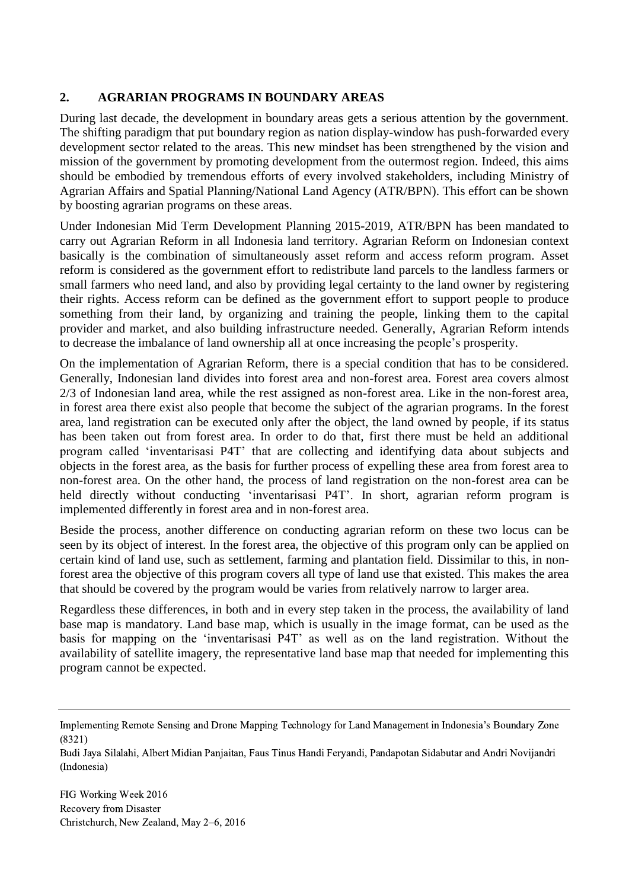### **2. AGRARIAN PROGRAMS IN BOUNDARY AREAS**

During last decade, the development in boundary areas gets a serious attention by the government. The shifting paradigm that put boundary region as nation display-window has push-forwarded every development sector related to the areas. This new mindset has been strengthened by the vision and mission of the government by promoting development from the outermost region. Indeed, this aims should be embodied by tremendous efforts of every involved stakeholders, including Ministry of Agrarian Affairs and Spatial Planning/National Land Agency (ATR/BPN). This effort can be shown by boosting agrarian programs on these areas.

Under Indonesian Mid Term Development Planning 2015-2019, ATR/BPN has been mandated to carry out Agrarian Reform in all Indonesia land territory. Agrarian Reform on Indonesian context basically is the combination of simultaneously asset reform and access reform program. Asset reform is considered as the government effort to redistribute land parcels to the landless farmers or small farmers who need land, and also by providing legal certainty to the land owner by registering their rights. Access reform can be defined as the government effort to support people to produce something from their land, by organizing and training the people, linking them to the capital provider and market, and also building infrastructure needed. Generally, Agrarian Reform intends to decrease the imbalance of land ownership all at once increasing the people's prosperity.

On the implementation of Agrarian Reform, there is a special condition that has to be considered. Generally, Indonesian land divides into forest area and non-forest area. Forest area covers almost 2/3 of Indonesian land area, while the rest assigned as non-forest area. Like in the non-forest area, in forest area there exist also people that become the subject of the agrarian programs. In the forest area, land registration can be executed only after the object, the land owned by people, if its status has been taken out from forest area. In order to do that, first there must be held an additional program called 'inventarisasi P4T' that are collecting and identifying data about subjects and objects in the forest area, as the basis for further process of expelling these area from forest area to non-forest area. On the other hand, the process of land registration on the non-forest area can be held directly without conducting 'inventarisasi P4T'. In short, agrarian reform program is implemented differently in forest area and in non-forest area.

Beside the process, another difference on conducting agrarian reform on these two locus can be seen by its object of interest. In the forest area, the objective of this program only can be applied on certain kind of land use, such as settlement, farming and plantation field. Dissimilar to this, in nonforest area the objective of this program covers all type of land use that existed. This makes the area that should be covered by the program would be varies from relatively narrow to larger area.

Regardless these differences, in both and in every step taken in the process, the availability of land base map is mandatory. Land base map, which is usually in the image format, can be used as the basis for mapping on the 'inventarisasi P4T' as well as on the land registration. Without the availability of satellite imagery, the representative land base map that needed for implementing this program cannot be expected.

Budi Jaya Silalahi, Albert Midian Panjaitan, Faus Tinus Handi Feryandi, Pandapotan Sidabutar and Andri Novijandri (Indonesia)

Implementing Remote Sensing and Drone Mapping Technology for Land Management in Indonesia's Boundary Zone (8321)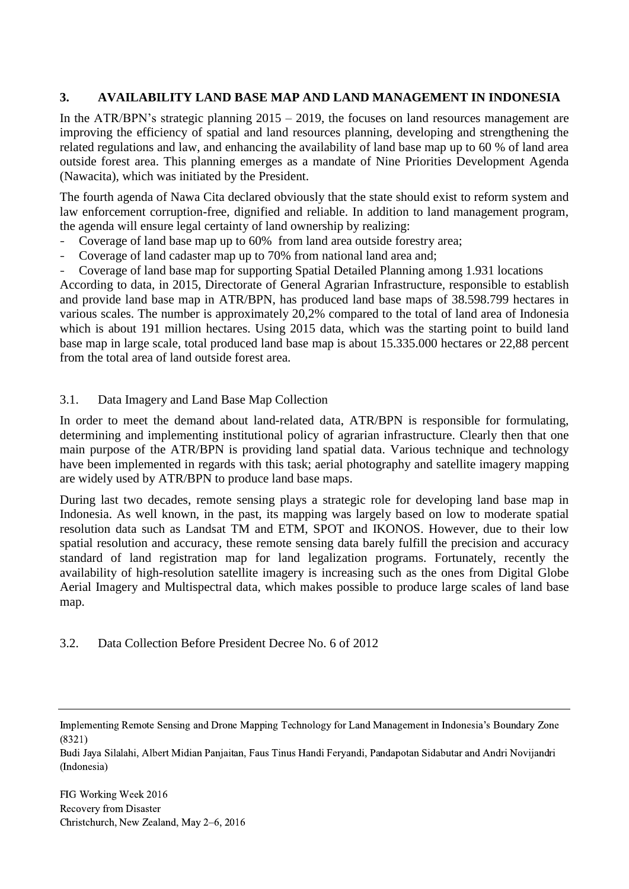### **3. AVAILABILITY LAND BASE MAP AND LAND MANAGEMENT IN INDONESIA**

In the ATR/BPN's strategic planning  $2015 - 2019$ , the focuses on land resources management are improving the efficiency of spatial and land resources planning, developing and strengthening the related regulations and law, and enhancing the availability of land base map up to 60 % of land area outside forest area. This planning emerges as a mandate of Nine Priorities Development Agenda (Nawacita), which was initiated by the President.

The fourth agenda of Nawa Cita declared obviously that the state should exist to reform system and law enforcement corruption-free, dignified and reliable. In addition to land management program, the agenda will ensure legal certainty of land ownership by realizing:

- Coverage of land base map up to 60% from land area outside forestry area;
- Coverage of land cadaster map up to 70% from national land area and;
- Coverage of land base map for supporting Spatial Detailed Planning among 1.931 locations

According to data, in 2015, Directorate of General Agrarian Infrastructure, responsible to establish and provide land base map in ATR/BPN, has produced land base maps of 38.598.799 hectares in various scales. The number is approximately 20,2% compared to the total of land area of Indonesia which is about 191 million hectares. Using 2015 data, which was the starting point to build land base map in large scale, total produced land base map is about 15.335.000 hectares or 22,88 percent from the total area of land outside forest area.

### 3.1. Data Imagery and Land Base Map Collection

In order to meet the demand about land-related data, ATR/BPN is responsible for formulating, determining and implementing institutional policy of agrarian infrastructure. Clearly then that one main purpose of the ATR/BPN is providing land spatial data. Various technique and technology have been implemented in regards with this task; aerial photography and satellite imagery mapping are widely used by ATR/BPN to produce land base maps.

During last two decades, remote sensing plays a strategic role for developing land base map in Indonesia. As well known, in the past, its mapping was largely based on low to moderate spatial resolution data such as Landsat TM and ETM, SPOT and IKONOS. However, due to their low spatial resolution and accuracy, these remote sensing data barely fulfill the precision and accuracy standard of land registration map for land legalization programs. Fortunately, recently the availability of high-resolution satellite imagery is increasing such as the ones from Digital Globe Aerial Imagery and Multispectral data, which makes possible to produce large scales of land base map.

#### 3.2. Data Collection Before President Decree No. 6 of 2012

Budi Jaya Silalahi, Albert Midian Panjaitan, Faus Tinus Handi Feryandi, Pandapotan Sidabutar and Andri Novijandri (Indonesia)

Implementing Remote Sensing and Drone Mapping Technology for Land Management in Indonesia's Boundary Zone (8321)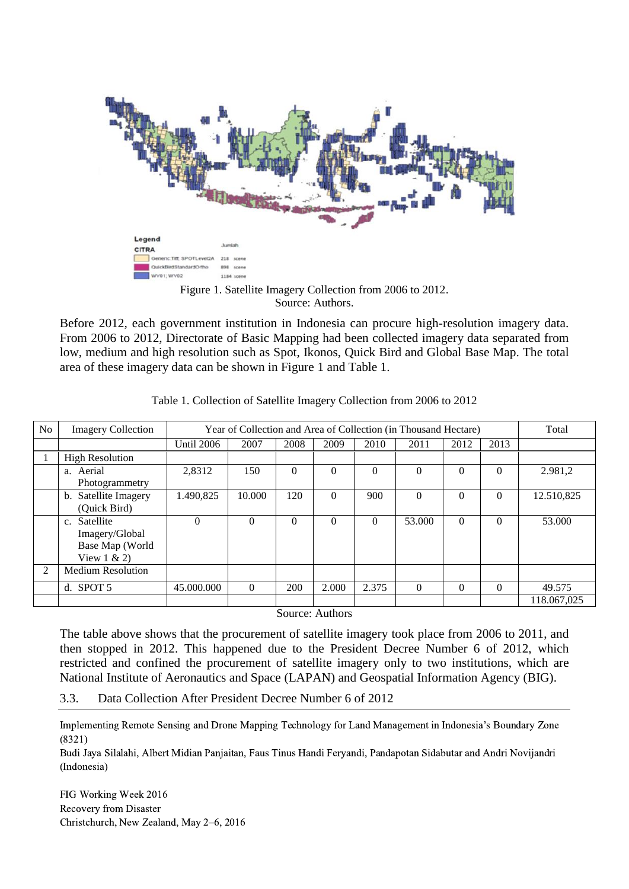

Source: Authors.

Before 2012, each government institution in Indonesia can procure high-resolution imagery data. From 2006 to 2012, Directorate of Basic Mapping had been collected imagery data separated from low, medium and high resolution such as Spot, Ikonos, Quick Bird and Global Base Map. The total area of these imagery data can be shown in Figure 1 and Table 1.

| N <sub>o</sub> | <b>Imagery Collection</b>                                         |                   | Year of Collection and Area of Collection (in Thousand Hectare) |          |          |          | Total    |          |          |             |
|----------------|-------------------------------------------------------------------|-------------------|-----------------------------------------------------------------|----------|----------|----------|----------|----------|----------|-------------|
|                |                                                                   | <b>Until 2006</b> | 2007                                                            | 2008     | 2009     | 2010     | 2011     | 2012     | 2013     |             |
|                | <b>High Resolution</b>                                            |                   |                                                                 |          |          |          |          |          |          |             |
|                | a. Aerial<br>Photogrammetry                                       | 2,8312            | 150                                                             | $\Omega$ | $\Omega$ | $\Omega$ | $\Omega$ | 0        | $\Omega$ | 2.981.2     |
|                | b. Satellite Imagery<br>(Quick Bird)                              | 1.490,825         | 10.000                                                          | 120      | $\Omega$ | 900      | $\Omega$ | $\Omega$ | $\Omega$ | 12.510,825  |
|                | c. Satellite<br>Imagery/Global<br>Base Map (World<br>View $1 & 2$ | $\Omega$          | $\Omega$                                                        | $\Omega$ | $\Omega$ | $\Omega$ | 53,000   | $\Omega$ | $\Omega$ | 53.000      |
| 2              | <b>Medium Resolution</b>                                          |                   |                                                                 |          |          |          |          |          |          |             |
|                | d. SPOT $5$                                                       | 45,000,000        | $\Omega$                                                        | 200      | 2.000    | 2.375    | $\Omega$ | $\Omega$ | $\Omega$ | 49.575      |
|                |                                                                   |                   |                                                                 |          |          |          |          |          |          | 118.067,025 |

Table 1. Collection of Satellite Imagery Collection from 2006 to 2012

Source: Authors

The table above shows that the procurement of satellite imagery took place from 2006 to 2011, and then stopped in 2012. This happened due to the President Decree Number 6 of 2012, which restricted and confined the procurement of satellite imagery only to two institutions, which are National Institute of Aeronautics and Space (LAPAN) and Geospatial Information Agency (BIG).

3.3. Data Collection After President Decree Number 6 of 2012

Implementing Remote Sensing and Drone Mapping Technology for Land Management in Indonesia's Boundary Zone (8321)

Budi Jaya Silalahi, Albert Midian Panjaitan, Faus Tinus Handi Feryandi, Pandapotan Sidabutar and Andri Novijandri (Indonesia)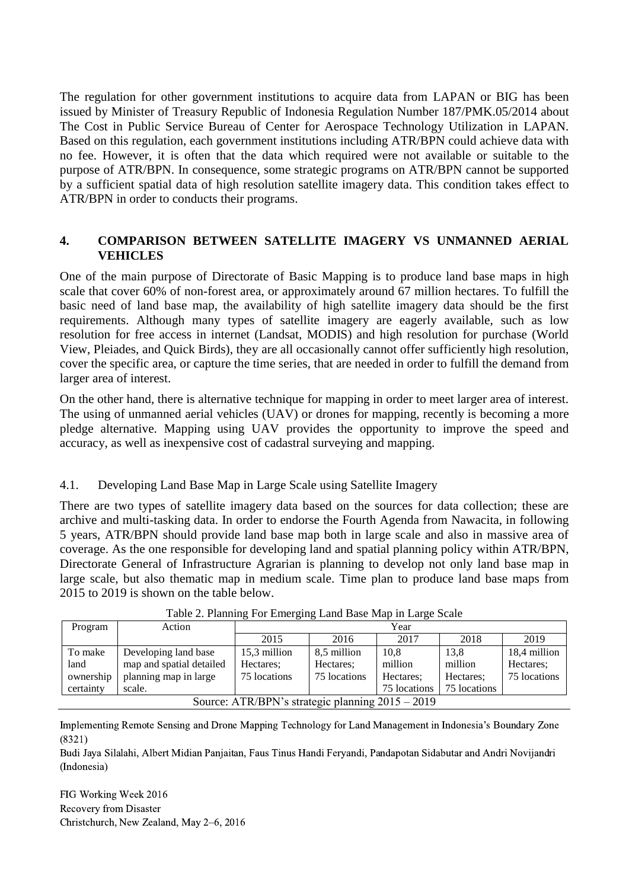The regulation for other government institutions to acquire data from LAPAN or BIG has been issued by Minister of Treasury Republic of Indonesia Regulation Number 187/PMK.05/2014 about The Cost in Public Service Bureau of Center for Aerospace Technology Utilization in LAPAN. Based on this regulation, each government institutions including ATR/BPN could achieve data with no fee. However, it is often that the data which required were not available or suitable to the purpose of ATR/BPN. In consequence, some strategic programs on ATR/BPN cannot be supported by a sufficient spatial data of high resolution satellite imagery data. This condition takes effect to ATR/BPN in order to conducts their programs.

### **4. COMPARISON BETWEEN SATELLITE IMAGERY VS UNMANNED AERIAL VEHICLES**

One of the main purpose of Directorate of Basic Mapping is to produce land base maps in high scale that cover 60% of non-forest area, or approximately around 67 million hectares. To fulfill the basic need of land base map, the availability of high satellite imagery data should be the first requirements. Although many types of satellite imagery are eagerly available, such as low resolution for free access in internet (Landsat, MODIS) and high resolution for purchase (World View, Pleiades, and Quick Birds), they are all occasionally cannot offer sufficiently high resolution, cover the specific area, or capture the time series, that are needed in order to fulfill the demand from larger area of interest.

On the other hand, there is alternative technique for mapping in order to meet larger area of interest. The using of unmanned aerial vehicles (UAV) or drones for mapping, recently is becoming a more pledge alternative. Mapping using UAV provides the opportunity to improve the speed and accuracy, as well as inexpensive cost of cadastral surveying and mapping.

### 4.1. Developing Land Base Map in Large Scale using Satellite Imagery

There are two types of satellite imagery data based on the sources for data collection; these are archive and multi-tasking data. In order to endorse the Fourth Agenda from Nawacita, in following 5 years, ATR/BPN should provide land base map both in large scale and also in massive area of coverage. As the one responsible for developing land and spatial planning policy within ATR/BPN, Directorate General of Infrastructure Agrarian is planning to develop not only land base map in large scale, but also thematic map in medium scale. Time plan to produce land base maps from 2015 to 2019 is shown on the table below.

| Program                                          | Action                   | Year         |              |              |              |              |
|--------------------------------------------------|--------------------------|--------------|--------------|--------------|--------------|--------------|
|                                                  |                          | 2015         | 2016         | 2017         | 2018         | 2019         |
| To make                                          | Developing land base     | 15,3 million | 8,5 million  | 10.8         | 13.8         | 18,4 million |
| land                                             | map and spatial detailed | Hectares:    | Hectares:    | million      | million      | Hectares:    |
| ownership                                        | planning map in large    | 75 locations | 75 locations | Hectares:    | Hectares:    | 75 locations |
| certainty                                        | scale.                   |              |              | 75 locations | 75 locations |              |
| Source: ATR/BPN's strategic planning 2015 - 2019 |                          |              |              |              |              |              |

Table 2. Planning For Emerging Land Base Map in Large Scale

Implementing Remote Sensing and Drone Mapping Technology for Land Management in Indonesia's Boundary Zone (8321)

Budi Jaya Silalahi, Albert Midian Panjaitan, Faus Tinus Handi Feryandi, Pandapotan Sidabutar and Andri Novijandri (Indonesia)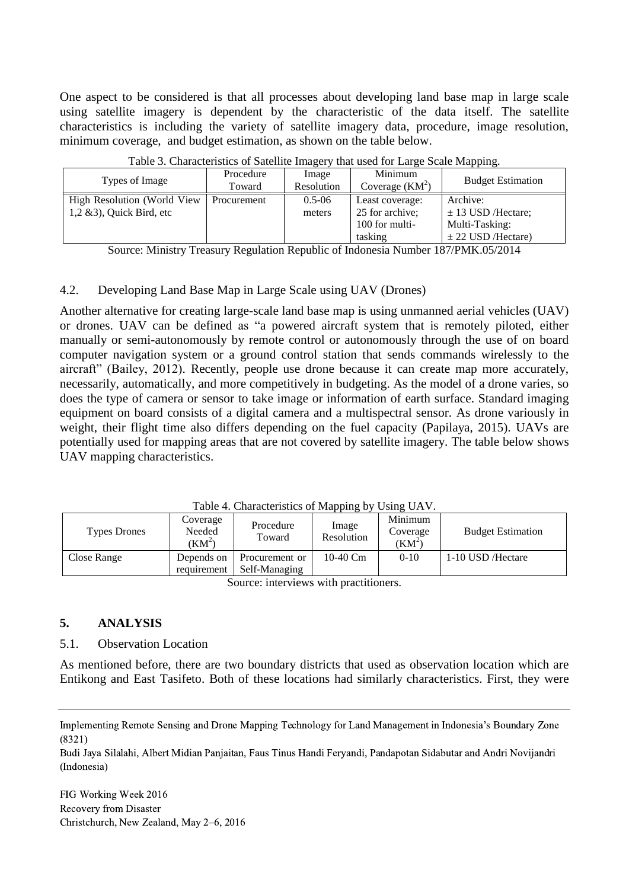One aspect to be considered is that all processes about developing land base map in large scale using satellite imagery is dependent by the characteristic of the data itself. The satellite characteristics is including the variety of satellite imagery data, procedure, image resolution, minimum coverage, and budget estimation, as shown on the table below.

|                              |             | ິ          |                  | . .                      |
|------------------------------|-------------|------------|------------------|--------------------------|
| Types of Image               | Procedure   | Image      | Minimum          | <b>Budget Estimation</b> |
|                              | Toward      | Resolution | Coverage $(KM2)$ |                          |
| High Resolution (World View  | Procurement | $0.5 - 06$ | Least coverage:  | Archive:                 |
| $1,2 \& 3$ , Quick Bird, etc |             | meters     | 25 for archive;  | $\pm$ 13 USD/Hectare;    |
|                              |             |            | 100 for multi-   | Multi-Tasking:           |
|                              |             |            | tasking          | $\pm$ 22 USD /Hectare)   |

Table 3. Characteristics of Satellite Imagery that used for Large Scale Mapping.

Source: Ministry Treasury Regulation Republic of Indonesia Number 187/PMK.05/2014

### 4.2. Developing Land Base Map in Large Scale using UAV (Drones)

Another alternative for creating large-scale land base map is using unmanned aerial vehicles (UAV) or drones. UAV can be defined as "a powered aircraft system that is remotely piloted, either manually or semi-autonomously by remote control or autonomously through the use of on board computer navigation system or a ground control station that sends commands wirelessly to the aircraft" (Bailey, 2012). Recently, people use drone because it can create map more accurately, necessarily, automatically, and more competitively in budgeting. As the model of a drone varies, so does the type of camera or sensor to take image or information of earth surface. Standard imaging equipment on board consists of a digital camera and a multispectral sensor. As drone variously in weight, their flight time also differs depending on the fuel capacity (Papilaya, 2015). UAVs are potentially used for mapping areas that are not covered by satellite imagery. The table below shows UAV mapping characteristics.

Table 4. Characteristics of Mapping by Using UAV.

| <b>Types Drones</b> | Coverage<br>Needed<br>(KM <sup>2</sup> ) | Procedure<br>Toward             | Image<br>Resolution | Minimum<br>Coverage<br>$(KM^2)$ | <b>Budget Estimation</b> |
|---------------------|------------------------------------------|---------------------------------|---------------------|---------------------------------|--------------------------|
| Close Range         | Depends on<br>requirement                | Procurement or<br>Self-Managing | 10-40 Cm            | $0-10$                          | 1-10 USD / Hectare       |

Source: interviews with practitioners.

### **5. ANALYSIS**

#### 5.1. Observation Location

As mentioned before, there are two boundary districts that used as observation location which are Entikong and East Tasifeto. Both of these locations had similarly characteristics. First, they were

Budi Jaya Silalahi, Albert Midian Panjaitan, Faus Tinus Handi Feryandi, Pandapotan Sidabutar and Andri Novijandri (Indonesia)

Implementing Remote Sensing and Drone Mapping Technology for Land Management in Indonesia's Boundary Zone (8321)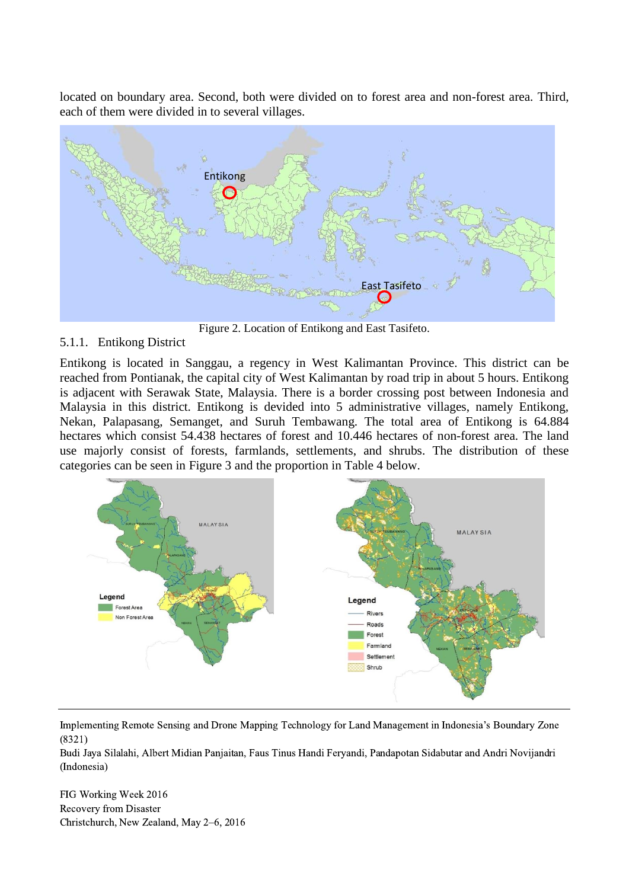located on boundary area. Second, both were divided on to forest area and non-forest area. Third, each of them were divided in to several villages.



Figure 2. Location of Entikong and East Tasifeto.

### 5.1.1. Entikong District

Entikong is located in Sanggau, a regency in West Kalimantan Province. This district can be reached from Pontianak, the capital city of West Kalimantan by road trip in about 5 hours. Entikong is adjacent with Serawak State, Malaysia. There is a border crossing post between Indonesia and Malaysia in this district. Entikong is devided into 5 administrative villages, namely Entikong, Nekan, Palapasang, Semanget, and Suruh Tembawang. The total area of Entikong is 64.884 hectares which consist 54.438 hectares of forest and 10.446 hectares of non-forest area. The land use majorly consist of forests, farmlands, settlements, and shrubs. The distribution of these categories can be seen in Figure 3 and the proportion in Table 4 below.



Implementing Remote Sensing and Drone Mapping Technology for Land Management in Indonesia's Boundary Zone (8321)

Budi Jaya Silalahi, Albert Midian Panjaitan, Faus Tinus Handi Feryandi, Pandapotan Sidabutar and Andri Novijandri (Indonesia)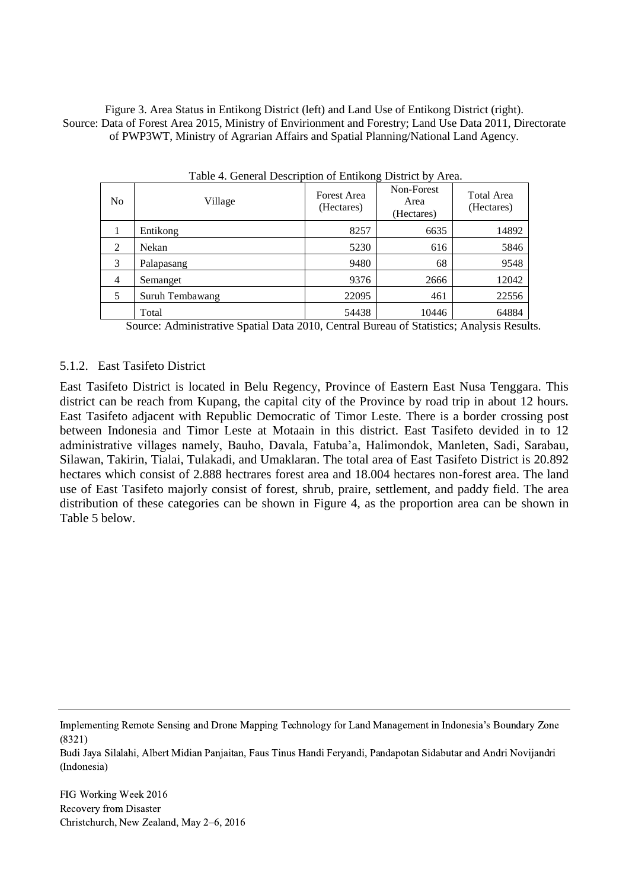Figure 3. Area Status in Entikong District (left) and Land Use of Entikong District (right). Source: Data of Forest Area 2015, Ministry of Envirionment and Forestry; Land Use Data 2011, Directorate of PWP3WT, Ministry of Agrarian Affairs and Spatial Planning/National Land Agency.

| Table 4. General Description of Entikong District by Area. |                 |                                  |                                  |                                 |  |
|------------------------------------------------------------|-----------------|----------------------------------|----------------------------------|---------------------------------|--|
| N <sub>o</sub>                                             | Village         | <b>Forest Area</b><br>(Hectares) | Non-Forest<br>Area<br>(Hectares) | <b>Total Area</b><br>(Hectares) |  |
|                                                            | Entikong        | 8257                             | 6635                             | 14892                           |  |
| 2                                                          | Nekan           | 5230                             | 616                              | 5846                            |  |
| 3                                                          | Palapasang      | 9480                             | 68                               | 9548                            |  |
| $\overline{4}$                                             | Semanget        | 9376                             | 2666                             | 12042                           |  |
| 5                                                          | Suruh Tembawang | 22095                            | 461                              | 22556                           |  |
|                                                            | Total           | 54438                            | 10446                            | 64884                           |  |

Source: Administrative Spatial Data 2010, Central Bureau of Statistics; Analysis Results.

#### 5.1.2. East Tasifeto District

East Tasifeto District is located in Belu Regency, Province of Eastern East Nusa Tenggara. This district can be reach from Kupang, the capital city of the Province by road trip in about 12 hours. East Tasifeto adjacent with Republic Democratic of Timor Leste. There is a border crossing post between Indonesia and Timor Leste at Motaain in this district. East Tasifeto devided in to 12 administrative villages namely, Bauho, Davala, Fatuba'a, Halimondok, Manleten, Sadi, Sarabau, Silawan, Takirin, Tialai, Tulakadi, and Umaklaran. The total area of East Tasifeto District is 20.892 hectares which consist of 2.888 hectrares forest area and 18.004 hectares non-forest area. The land use of East Tasifeto majorly consist of forest, shrub, praire, settlement, and paddy field. The area distribution of these categories can be shown in Figure 4, as the proportion area can be shown in Table 5 below.

Implementing Remote Sensing and Drone Mapping Technology for Land Management in Indonesia's Boundary Zone (8321)

Budi Jaya Silalahi, Albert Midian Panjaitan, Faus Tinus Handi Feryandi, Pandapotan Sidabutar and Andri Novijandri (Indonesia)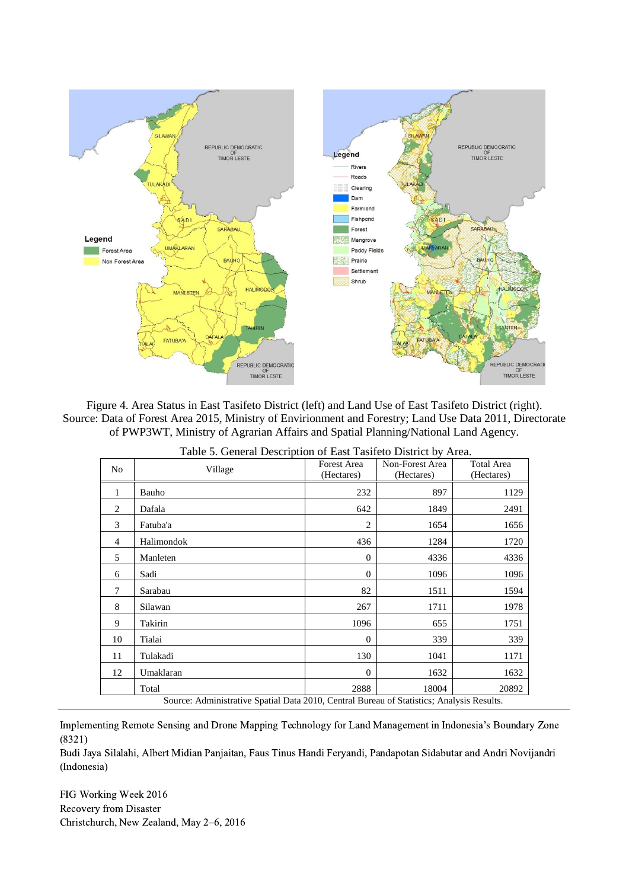

Figure 4. Area Status in East Tasifeto District (left) and Land Use of East Tasifeto District (right). Source: Data of Forest Area 2015, Ministry of Envirionment and Forestry; Land Use Data 2011, Directorate of PWP3WT, Ministry of Agrarian Affairs and Spatial Planning/National Land Agency.

|                                                                                           | Table 5. General Description of East Tasifeto District by Area. |                                  |                               |                                 |  |  |
|-------------------------------------------------------------------------------------------|-----------------------------------------------------------------|----------------------------------|-------------------------------|---------------------------------|--|--|
| No                                                                                        | Village                                                         | <b>Forest Area</b><br>(Hectares) | Non-Forest Area<br>(Hectares) | <b>Total Area</b><br>(Hectares) |  |  |
| 1                                                                                         | Bauho                                                           | 232                              | 897                           | 1129                            |  |  |
| 2                                                                                         | Dafala                                                          | 642                              | 1849                          | 2491                            |  |  |
| 3                                                                                         | Fatuba'a                                                        | $\overline{2}$                   | 1654                          | 1656                            |  |  |
| $\overline{4}$                                                                            | Halimondok                                                      | 436                              | 1284                          | 1720                            |  |  |
| 5                                                                                         | Manleten                                                        | $\overline{0}$                   | 4336                          | 4336                            |  |  |
| 6                                                                                         | Sadi                                                            | $\Omega$                         | 1096                          | 1096                            |  |  |
| 7                                                                                         | Sarabau                                                         | 82                               | 1511                          | 1594                            |  |  |
| 8                                                                                         | Silawan                                                         | 267                              | 1711                          | 1978                            |  |  |
| 9                                                                                         | Takirin                                                         | 1096                             | 655                           | 1751                            |  |  |
| 10                                                                                        | Tialai                                                          | $\overline{0}$                   | 339                           | 339                             |  |  |
| 11                                                                                        | Tulakadi                                                        | 130                              | 1041                          | 1171                            |  |  |
| 12                                                                                        | Umaklaran                                                       | $\Omega$                         | 1632                          | 1632                            |  |  |
|                                                                                           | Total                                                           | 2888                             | 18004                         | 20892                           |  |  |
| Source: Administrative Spatial Data 2010, Central Bureau of Statistics; Analysis Results. |                                                                 |                                  |                               |                                 |  |  |

Table 5. General Description of East Tasifeto District by Area.

Implementing Remote Sensing and Drone Mapping Technology for Land Management in Indonesia's Boundary Zone (8321)

Budi Jaya Silalahi, Albert Midian Panjaitan, Faus Tinus Handi Feryandi, Pandapotan Sidabutar and Andri Novijandri (Indonesia)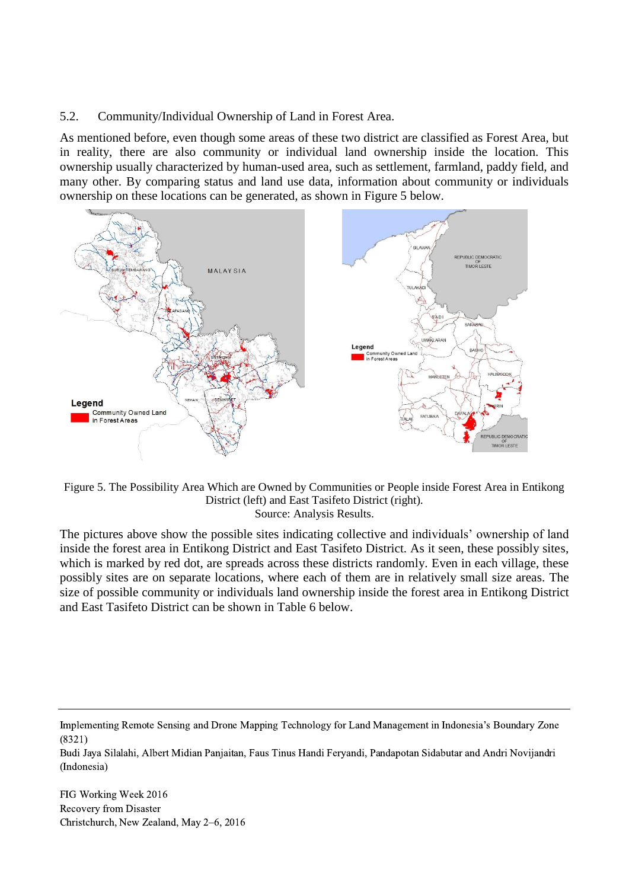### 5.2. Community/Individual Ownership of Land in Forest Area.

As mentioned before, even though some areas of these two district are classified as Forest Area, but in reality, there are also community or individual land ownership inside the location. This ownership usually characterized by human-used area, such as settlement, farmland, paddy field, and many other. By comparing status and land use data, information about community or individuals ownership on these locations can be generated, as shown in Figure 5 below.



Figure 5. The Possibility Area Which are Owned by Communities or People inside Forest Area in Entikong District (left) and East Tasifeto District (right). Source: Analysis Results.

The pictures above show the possible sites indicating collective and individuals' ownership of land inside the forest area in Entikong District and East Tasifeto District. As it seen, these possibly sites, which is marked by red dot, are spreads across these districts randomly. Even in each village, these possibly sites are on separate locations, where each of them are in relatively small size areas. The size of possible community or individuals land ownership inside the forest area in Entikong District and East Tasifeto District can be shown in Table 6 below.

Budi Jaya Silalahi, Albert Midian Panjaitan, Faus Tinus Handi Feryandi, Pandapotan Sidabutar and Andri Novijandri (Indonesia)

Implementing Remote Sensing and Drone Mapping Technology for Land Management in Indonesia's Boundary Zone (8321)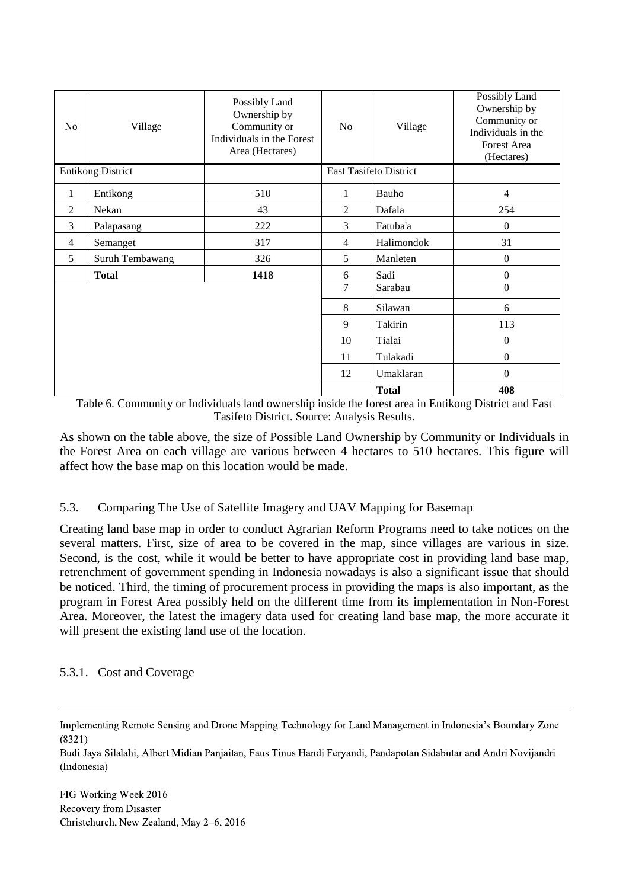| N <sub>o</sub> | Village                  | Possibly Land<br>Ownership by<br>Community or<br>Individuals in the Forest<br>Area (Hectares) | No             | Village                       | Possibly Land<br>Ownership by<br>Community or<br>Individuals in the<br>Forest Area<br>(Hectares) |
|----------------|--------------------------|-----------------------------------------------------------------------------------------------|----------------|-------------------------------|--------------------------------------------------------------------------------------------------|
|                | <b>Entikong District</b> |                                                                                               |                | <b>East Tasifeto District</b> |                                                                                                  |
| $\mathbf{1}$   | Entikong                 | 510                                                                                           | 1              | Bauho                         | 4                                                                                                |
| 2              | Nekan                    | 43                                                                                            | 2              | Dafala                        | 254                                                                                              |
| 3              | Palapasang               | 222                                                                                           | 3              | Fatuba'a                      | $\boldsymbol{0}$                                                                                 |
| $\overline{4}$ | Semanget                 | 317                                                                                           | $\overline{4}$ | Halimondok                    | 31                                                                                               |
| 5              | Suruh Tembawang          | 326                                                                                           | 5              | Manleten                      | $\boldsymbol{0}$                                                                                 |
|                | <b>Total</b>             | 1418                                                                                          | 6              | Sadi                          | $\boldsymbol{0}$                                                                                 |
|                |                          |                                                                                               | 7              | Sarabau                       | $\boldsymbol{0}$                                                                                 |
|                |                          |                                                                                               | 8              | Silawan                       | 6                                                                                                |
|                |                          |                                                                                               | 9              | Takirin                       | 113                                                                                              |
|                |                          |                                                                                               | 10             | Tialai                        | $\boldsymbol{0}$                                                                                 |
|                |                          |                                                                                               | 11             | Tulakadi                      | $\boldsymbol{0}$                                                                                 |
|                |                          |                                                                                               | 12             | Umaklaran                     | $\boldsymbol{0}$                                                                                 |
|                |                          |                                                                                               |                | <b>Total</b>                  | 408                                                                                              |

Table 6. Community or Individuals land ownership inside the forest area in Entikong District and East Tasifeto District. Source: Analysis Results.

As shown on the table above, the size of Possible Land Ownership by Community or Individuals in the Forest Area on each village are various between 4 hectares to 510 hectares. This figure will affect how the base map on this location would be made.

### 5.3. Comparing The Use of Satellite Imagery and UAV Mapping for Basemap

Creating land base map in order to conduct Agrarian Reform Programs need to take notices on the several matters. First, size of area to be covered in the map, since villages are various in size. Second, is the cost, while it would be better to have appropriate cost in providing land base map, retrenchment of government spending in Indonesia nowadays is also a significant issue that should be noticed. Third, the timing of procurement process in providing the maps is also important, as the program in Forest Area possibly held on the different time from its implementation in Non-Forest Area. Moreover, the latest the imagery data used for creating land base map, the more accurate it will present the existing land use of the location.

### 5.3.1. Cost and Coverage

Implementing Remote Sensing and Drone Mapping Technology for Land Management in Indonesia's Boundary Zone (8321)

Budi Jaya Silalahi, Albert Midian Panjaitan, Faus Tinus Handi Feryandi, Pandapotan Sidabutar and Andri Novijandri (Indonesia)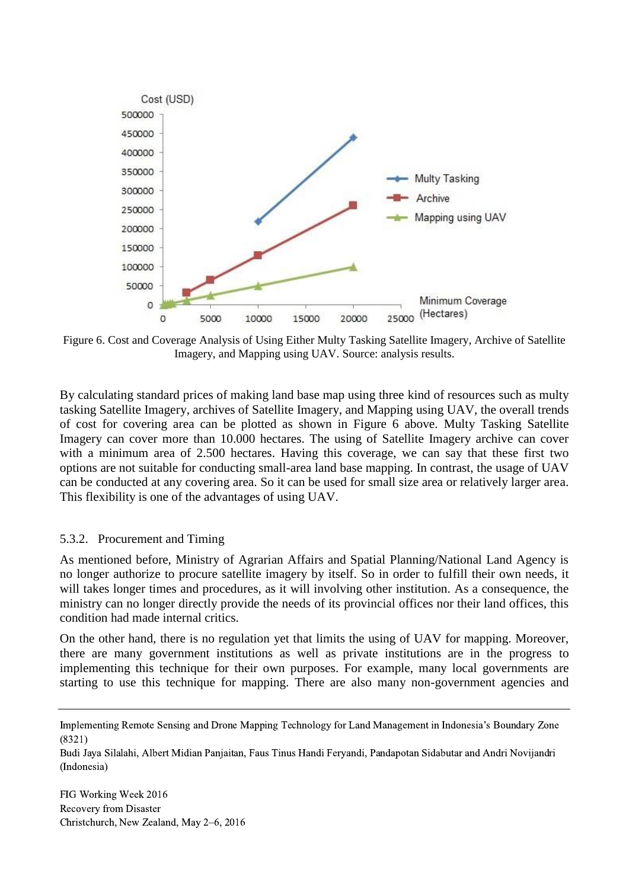

Figure 6. Cost and Coverage Analysis of Using Either Multy Tasking Satellite Imagery, Archive of Satellite Imagery, and Mapping using UAV. Source: analysis results.

By calculating standard prices of making land base map using three kind of resources such as multy tasking Satellite Imagery, archives of Satellite Imagery, and Mapping using UAV, the overall trends of cost for covering area can be plotted as shown in Figure 6 above. Multy Tasking Satellite Imagery can cover more than 10.000 hectares. The using of Satellite Imagery archive can cover with a minimum area of 2.500 hectares. Having this coverage, we can say that these first two options are not suitable for conducting small-area land base mapping. In contrast, the usage of UAV can be conducted at any covering area. So it can be used for small size area or relatively larger area. This flexibility is one of the advantages of using UAV.

#### 5.3.2. Procurement and Timing

As mentioned before, Ministry of Agrarian Affairs and Spatial Planning/National Land Agency is no longer authorize to procure satellite imagery by itself. So in order to fulfill their own needs, it will takes longer times and procedures, as it will involving other institution. As a consequence, the ministry can no longer directly provide the needs of its provincial offices nor their land offices, this condition had made internal critics.

On the other hand, there is no regulation yet that limits the using of UAV for mapping. Moreover, there are many government institutions as well as private institutions are in the progress to implementing this technique for their own purposes. For example, many local governments are starting to use this technique for mapping. There are also many non-government agencies and

Budi Jaya Silalahi, Albert Midian Panjaitan, Faus Tinus Handi Feryandi, Pandapotan Sidabutar and Andri Novijandri (Indonesia)

Implementing Remote Sensing and Drone Mapping Technology for Land Management in Indonesia's Boundary Zone (8321)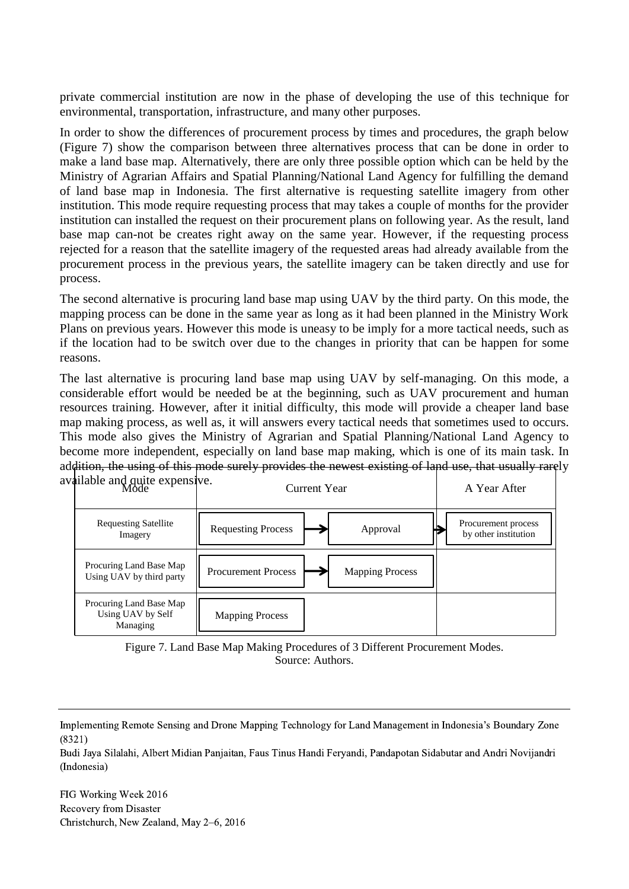private commercial institution are now in the phase of developing the use of this technique for environmental, transportation, infrastructure, and many other purposes.

In order to show the differences of procurement process by times and procedures, the graph below (Figure 7) show the comparison between three alternatives process that can be done in order to make a land base map. Alternatively, there are only three possible option which can be held by the Ministry of Agrarian Affairs and Spatial Planning/National Land Agency for fulfilling the demand of land base map in Indonesia. The first alternative is requesting satellite imagery from other institution. This mode require requesting process that may takes a couple of months for the provider institution can installed the request on their procurement plans on following year. As the result, land base map can-not be creates right away on the same year. However, if the requesting process rejected for a reason that the satellite imagery of the requested areas had already available from the procurement process in the previous years, the satellite imagery can be taken directly and use for process.

The second alternative is procuring land base map using UAV by the third party. On this mode, the mapping process can be done in the same year as long as it had been planned in the Ministry Work Plans on previous years. However this mode is uneasy to be imply for a more tactical needs, such as if the location had to be switch over due to the changes in priority that can be happen for some reasons.

The last alternative is procuring land base map using UAV by self-managing. On this mode, a considerable effort would be needed be at the beginning, such as UAV procurement and human resources training. However, after it initial difficulty, this mode will provide a cheaper land base map making process, as well as, it will answers every tactical needs that sometimes used to occurs. This mode also gives the Ministry of Agrarian and Spatial Planning/National Land Agency to become more independent, especially on land base map making, which is one of its main task. In addition, the using of this mode surely provides the newest existing of land use, that usually rarely available

| anable and quite expensive.<br>Mode                      | Current Year                                         | A Year After                                |
|----------------------------------------------------------|------------------------------------------------------|---------------------------------------------|
| <b>Requesting Satellite</b><br>Imagery                   | <b>Requesting Process</b><br>Approval                | Procurement process<br>by other institution |
| Procuring Land Base Map<br>Using UAV by third party      | <b>Procurement Process</b><br><b>Mapping Process</b> |                                             |
| Procuring Land Base Map<br>Using UAV by Self<br>Managing | <b>Mapping Process</b>                               |                                             |



Implementing Remote Sensing and Drone Mapping Technology for Land Management in Indonesia's Boundary Zone (8321)

Budi Jaya Silalahi, Albert Midian Panjaitan, Faus Tinus Handi Feryandi, Pandapotan Sidabutar and Andri Novijandri (Indonesia)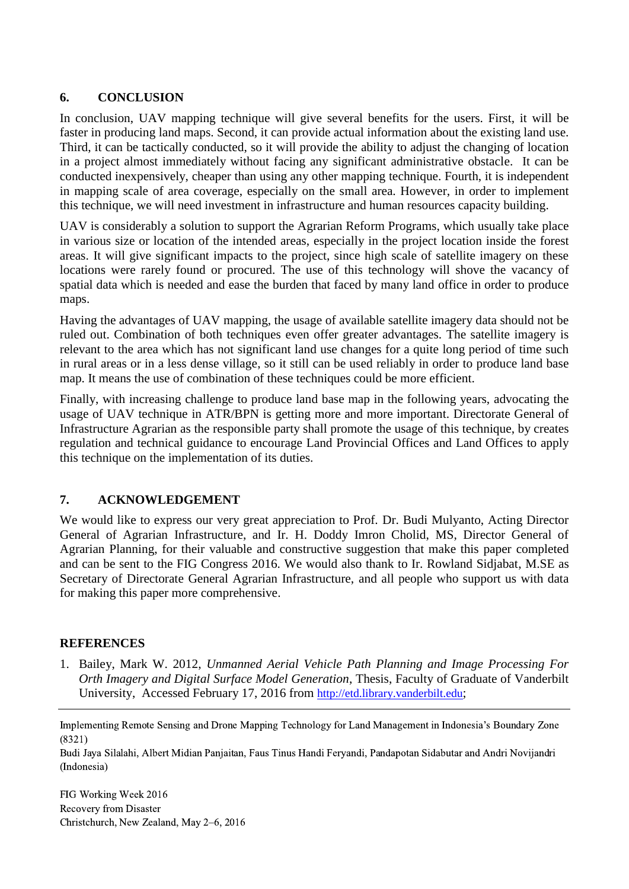### **6. CONCLUSION**

In conclusion, UAV mapping technique will give several benefits for the users. First, it will be faster in producing land maps. Second, it can provide actual information about the existing land use. Third, it can be tactically conducted, so it will provide the ability to adjust the changing of location in a project almost immediately without facing any significant administrative obstacle. It can be conducted inexpensively, cheaper than using any other mapping technique. Fourth, it is independent in mapping scale of area coverage, especially on the small area. However, in order to implement this technique, we will need investment in infrastructure and human resources capacity building.

UAV is considerably a solution to support the Agrarian Reform Programs, which usually take place in various size or location of the intended areas, especially in the project location inside the forest areas. It will give significant impacts to the project, since high scale of satellite imagery on these locations were rarely found or procured. The use of this technology will shove the vacancy of spatial data which is needed and ease the burden that faced by many land office in order to produce maps.

Having the advantages of UAV mapping, the usage of available satellite imagery data should not be ruled out. Combination of both techniques even offer greater advantages. The satellite imagery is relevant to the area which has not significant land use changes for a quite long period of time such in rural areas or in a less dense village, so it still can be used reliably in order to produce land base map. It means the use of combination of these techniques could be more efficient.

Finally, with increasing challenge to produce land base map in the following years, advocating the usage of UAV technique in ATR/BPN is getting more and more important. Directorate General of Infrastructure Agrarian as the responsible party shall promote the usage of this technique, by creates regulation and technical guidance to encourage Land Provincial Offices and Land Offices to apply this technique on the implementation of its duties.

# **7. ACKNOWLEDGEMENT**

We would like to express our very great appreciation to Prof. Dr. Budi Mulyanto, Acting Director General of Agrarian Infrastructure, and Ir. H. Doddy Imron Cholid, MS, Director General of Agrarian Planning, for their valuable and constructive suggestion that make this paper completed and can be sent to the FIG Congress 2016. We would also thank to Ir. Rowland Sidjabat, M.SE as Secretary of Directorate General Agrarian Infrastructure, and all people who support us with data for making this paper more comprehensive.

### **REFERENCES**

1. Bailey, Mark W. 2012, *Unmanned Aerial Vehicle Path Planning and Image Processing For Orth Imagery and Digital Surface Model Generation*, Thesis, Faculty of Graduate of Vanderbilt University, Accessed February 17, 2016 from [http://etd.library.vanderbilt.edu](http://etd.library.vanderbilt.edu/);

Implementing Remote Sensing and Drone Mapping Technology for Land Management in Indonesia's Boundary Zone (8321)

Budi Jaya Silalahi, Albert Midian Panjaitan, Faus Tinus Handi Feryandi, Pandapotan Sidabutar and Andri Novijandri (Indonesia)